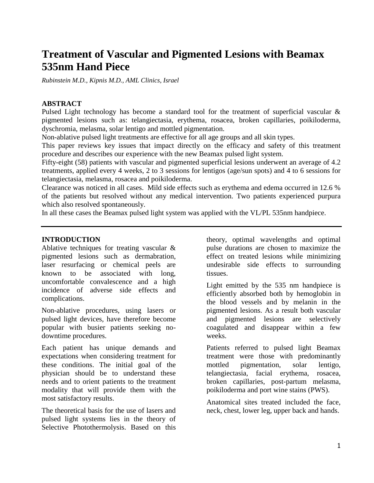# **Treatment of Vascular and Pigmented Lesions with Beamax 535nm Hand Piece**

*Rubinstein M.D., Kipnis M.D., AML Clinics, Israel*

#### **ABSTRACT**

Pulsed Light technology has become a standard tool for the treatment of superficial vascular & pigmented lesions such as: telangiectasia, erythema, rosacea, broken capillaries, poikiloderma, dyschromia, melasma, solar lentigo and mottled pigmentation.

Non-ablative pulsed light treatments are effective for all age groups and all skin types.

This paper reviews key issues that impact directly on the efficacy and safety of this treatment procedure and describes our experience with the new Beamax pulsed light system.

Fifty-eight (58) patients with vascular and pigmented superficial lesions underwent an average of 4.2 treatments, applied every 4 weeks, 2 to 3 sessions for lentigos (age/sun spots) and 4 to 6 sessions for telangiectasia, melasma, rosacea and poikiloderma.

Clearance was noticed in all cases. Mild side effects such as erythema and edema occurred in 12.6 % of the patients but resolved without any medical intervention. Two patients experienced purpura which also resolved spontaneously.

In all these cases the Beamax pulsed light system was applied with the VL/PL 535nm handpiece.

#### **INTRODUCTION**

Ablative techniques for treating vascular & pigmented lesions such as dermabration, laser resurfacing or chemical peels are known to be associated with long, uncomfortable convalescence and a high incidence of adverse side effects and complications.

Non-ablative procedures, using lasers or pulsed light devices, have therefore become popular with busier patients seeking nodowntime procedures.

Each patient has unique demands and expectations when considering treatment for these conditions. The initial goal of the physician should be to understand these needs and to orient patients to the treatment modality that will provide them with the most satisfactory results.

The theoretical basis for the use of lasers and pulsed light systems lies in the theory of Selective Photothermolysis. Based on this

theory, optimal wavelengths and optimal pulse durations are chosen to maximize the effect on treated lesions while minimizing undesirable side effects to surrounding tissues.

Light emitted by the 535 nm handpiece is efficiently absorbed both by hemoglobin in the blood vessels and by melanin in the pigmented lesions. As a result both vascular and pigmented lesions are selectively coagulated and disappear within a few weeks.

Patients referred to pulsed light Beamax treatment were those with predominantly mottled pigmentation, solar lentigo, telangiectasia, facial erythema, rosacea, broken capillaries, post-partum melasma, poikiloderma and port wine stains (PWS).

Anatomical sites treated included the face, neck, chest, lower leg, upper back and hands.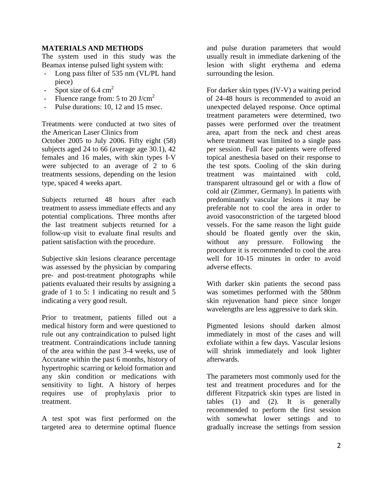# **MATERIALS AND METHODS**

The system used in this study was the Beamax intense pulsed light system with:

- Long pass filter of 535 nm (VL/PL hand piece)
- Spot size of  $6.4 \text{ cm}^2$
- Fluence range from: 5 to 20 J/cm<sup>2</sup>
- Pulse durations: 10, 12 and 15 msec.

Treatments were conducted at two sites of the American Laser Clinics from

October 2005 to July 2006. Fifty eight (58) subjects aged 24 to 66 (average age 30.1), 42 females and 16 males, with skin types I-V were subjected to an average of 2 to 6 treatments sessions, depending on the lesion type, spaced 4 weeks apart.

Subjects returned 48 hours after each treatment to assess immediate effects and any potential complications. Three months after the last treatment subjects returned for a follow-up visit to evaluate final results and patient satisfaction with the procedure.

Subjective skin lesions clearance percentage was assessed by the physician by comparing pre- and post-treatment photographs while patients evaluated their results by assigning a grade of 1 to 5: 1 indicating no result and 5 indicating a very good result.

Prior to treatment, patients filled out a medical history form and were questioned to rule out any contraindication to pulsed light treatment. Contraindications include tanning of the area within the past 3-4 weeks, use of Accutane within the past 6 months, history of hypertrophic scarring or keloid formation and any skin condition or medications with sensitivity to light. A history of herpes requires use of prophylaxis prior to treatment.

A test spot was first performed on the targeted area to determine optimal fluence and pulse duration parameters that would usually result in immediate darkening of the lesion with slight erythema and edema surrounding the lesion.

For darker skin types (IV-V) a waiting period of 24-48 hours is recommended to avoid an unexpected delayed response. Once optimal treatment parameters were determined, two passes were performed over the treatment area, apart from the neck and chest areas where treatment was limited to a single pass per session. Full face patients were offered topical anesthesia based on their response to the test spots. Cooling of the skin during treatment was maintained with cold, transparent ultrasound gel or with a flow of cold air (Zimmer, Germany). In patients with predominantly vascular lesions it may be preferable not to cool the area in order to avoid vasoconstriction of the targeted blood vessels. For the same reason the light guide should be floated gently over the skin, without any pressure. Following the procedure it is recommended to cool the area well for 10-15 minutes in order to avoid adverse effects.

With darker skin patients the second pass was sometimes performed with the 580nm skin rejuvenation hand piece since longer wavelengths are less aggressive to dark skin.

Pigmented lesions should darken almost immediately in most of the cases and will exfoliate within a few days. Vascular lesions will shrink immediately and look lighter afterwards.

The parameters most commonly used for the test and treatment procedures and for the different Fitzpatrick skin types are listed in tables (1) and (2). It is generally recommended to perform the first session with somewhat lower settings and to gradually increase the settings from session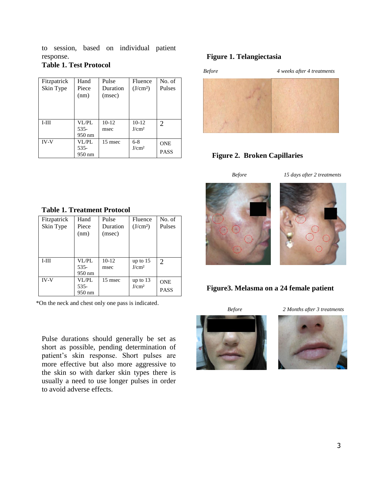to session, based on individual patient response.

# **Table 1. Test Protocol**

| Fitzpatrick | Hand                    | Pulse              | Fluence                      | No. of                      |
|-------------|-------------------------|--------------------|------------------------------|-----------------------------|
| Skin Type   | Piece<br>(nm)           | Duration<br>(msec) | (J/cm <sup>2</sup> )         | <b>Pulses</b>               |
| $I-III$     | VL/PL<br>535-<br>950 nm | $10-12$<br>msec    | $10-12$<br>J/cm <sup>2</sup> | $\mathcal{D}_{\mathcal{L}}$ |
| <b>IV-V</b> | VL/PL<br>535-<br>950 nm | 15 msec            | $6 - 8$<br>J/cm <sup>2</sup> | <b>ONE</b><br><b>PASS</b>   |

#### **Figure 1. Telangiectasia**



# **Figure 2. Broken Capillaries**



#### **Figure3. Melasma on a 24 female patient**

*Before 2 Months after 3 treatments*



#### **Table 1. Treatment Protocol**

| Fitzpatrick<br>Skin Type | Hand<br>Piece<br>(nm)   | Pulse<br>Duration<br>(msec) | Fluence<br>(J/cm <sup>2</sup> ) | No. of<br>Pulses            |
|--------------------------|-------------------------|-----------------------------|---------------------------------|-----------------------------|
| $I-III$                  | VL/PL<br>535-<br>950 nm | $10-12$<br>msec             | up to 15<br>J/cm <sup>2</sup>   | $\mathcal{D}_{\mathcal{L}}$ |
| <b>IV-V</b>              | VL/PL<br>535-<br>950 nm | 15 msec                     | up to $13$<br>J/cm <sup>2</sup> | <b>ONE</b><br><b>PASS</b>   |

\*On the neck and chest only one pass is indicated.

Pulse durations should generally be set as short as possible, pending determination of patient's skin response. Short pulses are more effective but also more aggressive to the skin so with darker skin types there is usually a need to use longer pulses in order to avoid adverse effects.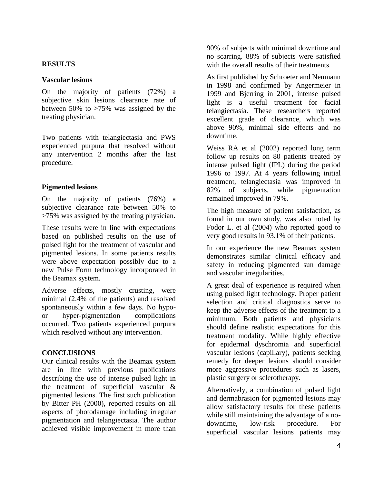# **RESULTS**

# **Vascular lesions**

On the majority of patients (72%) a subjective skin lesions clearance rate of between 50% to >75% was assigned by the treating physician.

Two patients with telangiectasia and PWS experienced purpura that resolved without any intervention 2 months after the last procedure.

# **Pigmented lesions**

On the majority of patients (76%) a subjective clearance rate between 50% to >75% was assigned by the treating physician.

These results were in line with expectations based on published results on the use of pulsed light for the treatment of vascular and pigmented lesions. In some patients results were above expectation possibly due to a new Pulse Form technology incorporated in the Beamax system.

Adverse effects, mostly crusting, were minimal (2.4% of the patients) and resolved spontaneously within a few days. No hypoor hyper-pigmentation complications occurred. Two patients experienced purpura which resolved without any intervention.

# **CONCLUSIONS**

Our clinical results with the Beamax system are in line with previous publications describing the use of intense pulsed light in the treatment of superficial vascular & pigmented lesions. The first such publication by Bitter PH (2000), reported results on all aspects of photodamage including irregular pigmentation and telangiectasia. The author achieved visible improvement in more than

90% of subjects with minimal downtime and no scarring. 88% of subjects were satisfied with the overall results of their treatments.

As first published by Schroeter and Neumann in 1998 and confirmed by Angermeier in 1999 and Bjerring in 2001, intense pulsed light is a useful treatment for facial telangiectasia. These researchers reported excellent grade of clearance, which was above 90%, minimal side effects and no downtime.

Weiss RA et al (2002) reported long term follow up results on 80 patients treated by intense pulsed light (IPL) during the period 1996 to 1997. At 4 years following initial treatment, telangiectasia was improved in 82% of subjects, while pigmentation remained improved in 79%.

The high measure of patient satisfaction, as found in our own study, was also noted by Fodor L. et al (2004) who reported good to very good results in 93.1% of their patients.

In our experience the new Beamax system demonstrates similar clinical efficacy and safety in reducing pigmented sun damage and vascular irregularities.

A great deal of experience is required when using pulsed light technology. Proper patient selection and critical diagnostics serve to keep the adverse effects of the treatment to a minimum. Both patients and physicians should define realistic expectations for this treatment modality. While highly effective for epidermal dyschromia and superficial vascular lesions (capillary), patients seeking remedy for deeper lesions should consider more aggressive procedures such as lasers, plastic surgery or sclerotherapy.

Alternatively, a combination of pulsed light and dermabrasion for pigmented lesions may allow satisfactory results for these patients while still maintaining the advantage of a nodowntime, low-risk procedure. For superficial vascular lesions patients may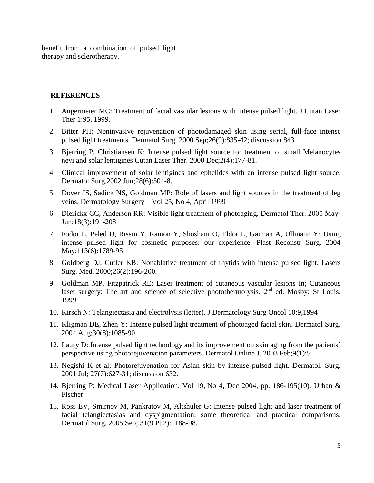benefit from a combination of pulsed light therapy and sclerotherapy.

#### **REFERENCES**

- 1. Angermeier MC: Treatment of facial vascular lesions with intense pulsed light. J Cutan Laser Ther 1:95, 1999.
- 2. Bitter PH: Noninvasive rejuvenation of photodamaged skin using serial, full-face intense pulsed light treatments. Dermatol Surg. 2000 Sep;26(9):835-42; discussion 843
- 3. Bjerring P, Christiansen K: Intense pulsed light source for treatment of small Melanocytes nevi and solar lentigines Cutan Laser Ther. 2000 Dec;2(4):177-81.
- 4. Clinical improvement of solar lentigines and ephelides with an intense pulsed light source. Dermatol Surg.2002 Jun;28(6):504-8.
- 5. Dover JS, Sadick NS, Goldman MP: Role of lasers and light sources in the treatment of leg veins. Dermatology Surgery – Vol 25, No 4, April 1999
- 6. Dierickx CC, Anderson RR: Visible light treatment of photoaging. Dermatol Ther. 2005 May-Jun;18(3):191-208
- 7. Fodor L, Peled IJ, Rissin Y, Ramon Y, Shoshani O, Eldor L, Gaiman A, Ullmann Y: Using intense pulsed light for cosmetic purposes: our experience. Plast Reconstr Surg. 2004 May;113(6):1789-95
- 8. Goldberg DJ, Cutler KB: Nonablative treatment of rhytids with intense pulsed light. Lasers Surg. Med. 2000;26(2):196-200.
- 9. Goldman MP, Fitzpatrick RE: Laser treatment of cutaneous vascular lesions In; Cutaneous laser surgery: The art and science of selective photothermolysis.  $2<sup>nd</sup>$  ed. Mosby: St Louis, 1999.
- 10. Kirsch N: Telangiectasia and electrolysis (letter). J Dermatology Surg Oncol 10:9,1994
- 11. Kligman DE, Zhen Y: Intense pulsed light treatment of photoaged facial skin. Dermatol Surg. 2004 Aug;30(8):1085-90
- 12. Laury D: Intense pulsed light technology and its improvement on skin aging from the patients' perspective using photorejuvenation parameters. Dermatol Online J. 2003 Feb;9(1):5
- 13. Negishi K et al: Photorejuvenation for Asian skin by intense pulsed light. Dermatol. Surg. 2001 Jul; 27(7):627-31; discussion 632.
- 14. Bjerring P: Medical Laser Application, Vol 19, No 4, Dec 2004, pp. 186-195(10). Urban & Fischer.
- 15. Ross EV, Smirnov M, Pankratov M, Altshuler G: Intense pulsed light and laser treatment of facial telangiectasias and dyspigmentation: some theoretical and practical comparisons. Dermatol Surg. 2005 Sep; 31(9 Pt 2):1188-98.